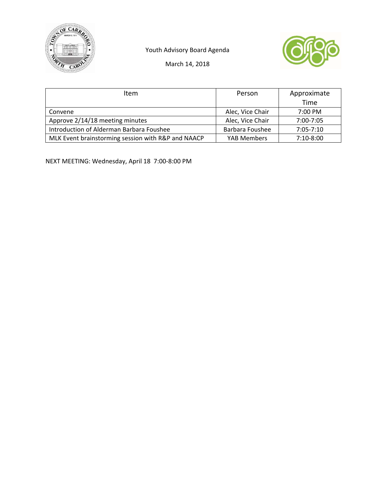

Youth Advisory Board Agenda



March 14, 2018

| Item                                               | Person           | Approximate   |
|----------------------------------------------------|------------------|---------------|
|                                                    |                  | Time          |
| Convene                                            | Alec, Vice Chair | 7:00 PM       |
| Approve 2/14/18 meeting minutes                    | Alec, Vice Chair | $7:00 - 7:05$ |
| Introduction of Alderman Barbara Foushee           | Barbara Foushee  | $7:05 - 7:10$ |
| MLK Event brainstorming session with R&P and NAACP | YAB Members      | $7:10-8:00$   |

NEXT MEETING: Wednesday, April 18 7:00‐8:00 PM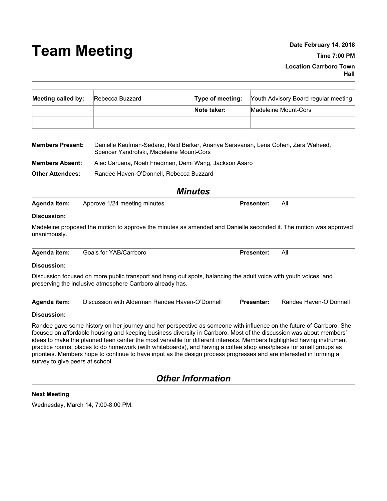# **Team Meeting Date February 14, <sup>2018</sup>**

| Meeting called by: | Rebecca Buzzard | Type of meeting: | Youth Advisory Board regular meeting |
|--------------------|-----------------|------------------|--------------------------------------|
|                    |                 | Note taker:      | Madeleine Mount-Cors                 |
|                    |                 |                  |                                      |

| <b>Members Present:</b> | Danielle Kaufman-Sedano, Reid Barker, Ananya Saravanan, Lena Cohen, Zara Waheed,<br>Spencer Yandrofski, Madeleine Mount-Cors |
|-------------------------|------------------------------------------------------------------------------------------------------------------------------|
| <b>Members Absent:</b>  | Alec Caruana, Noah Friedman, Demi Wang, Jackson Asaro                                                                        |
| <b>Other Attendees:</b> | Randee Haven-O'Donnell, Rebecca Buzzard                                                                                      |

*Minutes*

| Agenda item: | Approve 1/24 meeting minutes | Presenter: |
|--------------|------------------------------|------------|
|--------------|------------------------------|------------|

#### **Discussion:**

Madeleine proposed the motion to approve the minutes as amended and Danielle seconded it. The motion was approved unanimously.

| Agenda item: | Goals for YAB/Carrboro | Presenter: | All |
|--------------|------------------------|------------|-----|

#### **Discussion:**

Discussion focused on more public transport and hang out spots, balancing the adult voice with youth voices, and preserving the inclusive atmosphere Carrboro already has.

| Agenda item: | Discussion with Alderman Randee Haven-O'Donnell | <b>Presenter:</b> | Randee Haven-O'Donnell |
|--------------|-------------------------------------------------|-------------------|------------------------|
|--------------|-------------------------------------------------|-------------------|------------------------|

#### **Discussion:**

Randee gave some history on her journey and her perspective as someone with influence on the future of Carrboro. She focused on affordable housing and keeping business diversity in Carrboro. Most of the discussion was about members' ideas to make the planned teen center the most versatile for different interests. Members highlighted having instrument practice rooms, places to do homework (with whiteboards), and having a coffee shop area/places for small groups as priorities. Members hope to continue to have input as the design process progresses and are interested in forming a survey to give peers at school.

# *Other Information*

#### **Next Meeting**

Wednesday, March 14, 7:00-8:00 PM.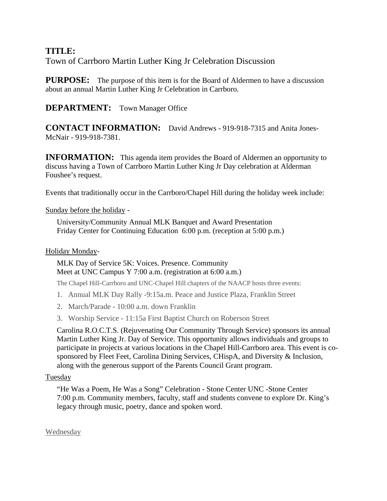# TITLE:

Town of Carrboro Martin Luther King Jr Celebration Discussion

**PURPOSE:** The purpose of this item is for the Board of Aldermen to have a discussion about an annual Martin Luther King Jr Celebration in Carrboro.

## **DEPARTMENT:** Town Manager Office

**CONTACT INFORMATION:** David Andrews - 919-918-7315 and Anita Jones-McNair - 919-918-7381.

**INFORMATION:** This agenda item provides the Board of Aldermen an opportunity to discuss having a Town of Carrboro Martin Luther King Jr Day celebration at Alderman Foushee's request.

Events that traditionally occur in the Carrboro/Chapel Hill during the holiday week include:

## Sunday before the holiday -

University/Community Annual MLK Banquet and Award Presentation Friday Center for Continuing Education 6:00 p.m. (reception at 5:00 p.m.)

## Holiday Monday-

MLK Day of Service 5K: Voices. Presence. Community Meet at UNC Campus Y 7:00 a.m. (registration at 6:00 a.m.)

The Chapel Hill-Carrboro and UNC-Chapel Hill chapters of the NAACP hosts three events:

- 1. Annual MLK Day Rally -9:15a.m. Peace and Justice Plaza, Franklin Street
- 2. March/Parade 10:00 a.m. down Franklin
- 3. Worship Service 11:15a First Baptist Church on Roberson Street

Carolina R.O.C.T.S. (Rejuvenating Our Community Through Service) sponsors its annual Martin Luther King Jr. Day of Service. This opportunity allows individuals and groups to participate in projects at various locations in the Chapel Hill-Carrboro area. This event is cosponsored by Fleet Feet, Carolina Dining Services, CHispA, and Diversity & Inclusion, along with the generous support of the Parents Council Grant program.

## Tuesday

"He Was a Poem, He Was a Song" Celebration - Stone Center UNC -Stone Center 7:00 p.m. Community members, faculty, staff and students convene to explore Dr. King's legacy through music, poetry, dance and spoken word.

Wednesday